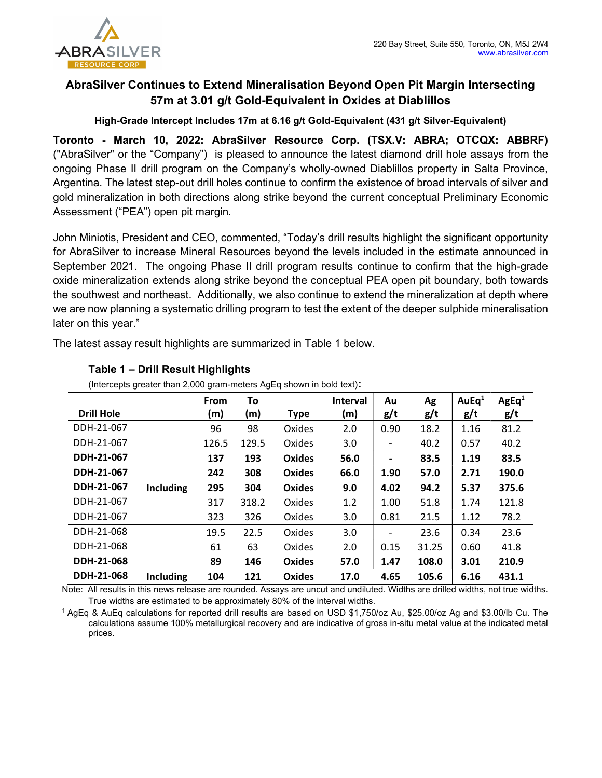

# AbraSilver Continues to Extend Mineralisation Beyond Open Pit Margin Intersecting 57m at 3.01 g/t Gold-Equivalent in Oxides at Diablillos

High-Grade Intercept Includes 17m at 6.16 g/t Gold-Equivalent (431 g/t Silver-Equivalent)

Toronto - March 10, 2022: AbraSilver Resource Corp. (TSX.V: ABRA; OTCQX: ABBRF) ("AbraSilver" or the "Company") is pleased to announce the latest diamond drill hole assays from the ongoing Phase II drill program on the Company's wholly-owned Diablillos property in Salta Province, Argentina. The latest step-out drill holes continue to confirm the existence of broad intervals of silver and gold mineralization in both directions along strike beyond the current conceptual Preliminary Economic Assessment ("PEA") open pit margin.

John Miniotis, President and CEO, commented, "Today's drill results highlight the significant opportunity for AbraSilver to increase Mineral Resources beyond the levels included in the estimate announced in September 2021. The ongoing Phase II drill program results continue to confirm that the high-grade oxide mineralization extends along strike beyond the conceptual PEA open pit boundary, both towards the southwest and northeast. Additionally, we also continue to extend the mineralization at depth where we are now planning a systematic drilling program to test the extent of the deeper sulphide mineralisation later on this year."

The latest assay result highlights are summarized in Table 1 below.

| microopio greater than 2,000 gram-meters riggly shown in bold text). |                  |             |       |               |                 |                          |       |                   |                   |
|----------------------------------------------------------------------|------------------|-------------|-------|---------------|-----------------|--------------------------|-------|-------------------|-------------------|
|                                                                      |                  | <b>From</b> | To    |               | <b>Interval</b> | Au                       | Ag    | AuEq <sup>1</sup> | AgEq <sup>1</sup> |
| <b>Drill Hole</b>                                                    |                  | (m)         | (m)   | <b>Type</b>   | (m)             | g/t                      | g/t   | g/t               | g/t               |
| DDH-21-067                                                           |                  | 96          | 98    | Oxides        | 2.0             | 0.90                     | 18.2  | 1.16              | 81.2              |
| DDH-21-067                                                           |                  | 126.5       | 129.5 | Oxides        | 3.0             |                          | 40.2  | 0.57              | 40.2              |
| DDH-21-067                                                           |                  | 137         | 193   | Oxides        | 56.0            | $\blacksquare$           | 83.5  | 1.19              | 83.5              |
| DDH-21-067                                                           |                  | 242         | 308   | Oxides        | 66.0            | 1.90                     | 57.0  | 2.71              | 190.0             |
| DDH-21-067                                                           | <b>Including</b> | 295         | 304   | Oxides        | 9.0             | 4.02                     | 94.2  | 5.37              | 375.6             |
| DDH-21-067                                                           |                  | 317         | 318.2 | Oxides        | 1.2             | 1.00                     | 51.8  | 1.74              | 121.8             |
| DDH-21-067                                                           |                  | 323         | 326   | Oxides        | 3.0             | 0.81                     | 21.5  | 1.12              | 78.2              |
| DDH-21-068                                                           |                  | 19.5        | 22.5  | Oxides        | 3.0             | $\overline{\phantom{a}}$ | 23.6  | 0.34              | 23.6              |
| DDH-21-068                                                           |                  | 61          | 63    | Oxides        | 2.0             | 0.15                     | 31.25 | 0.60              | 41.8              |
| DDH-21-068                                                           |                  | 89          | 146   | Oxides        | 57.0            | 1.47                     | 108.0 | 3.01              | 210.9             |
| DDH-21-068                                                           | <b>Including</b> | 104         | 121   | <b>Oxides</b> | 17.0            | 4.65                     | 105.6 | 6.16              | 431.1             |

## Table 1 – Drill Result Highlights

(Intercepts greater than 2,000 gram-meters AgEq shown in bold text):

Note: All results in this news release are rounded. Assays are uncut and undiluted. Widths are drilled widths, not true widths. True widths are estimated to be approximately 80% of the interval widths.

<sup>1</sup>AgEq & AuEq calculations for reported drill results are based on USD \$1,750/oz Au, \$25.00/oz Ag and \$3.00/lb Cu. The calculations assume 100% metallurgical recovery and are indicative of gross in-situ metal value at the indicated metal prices.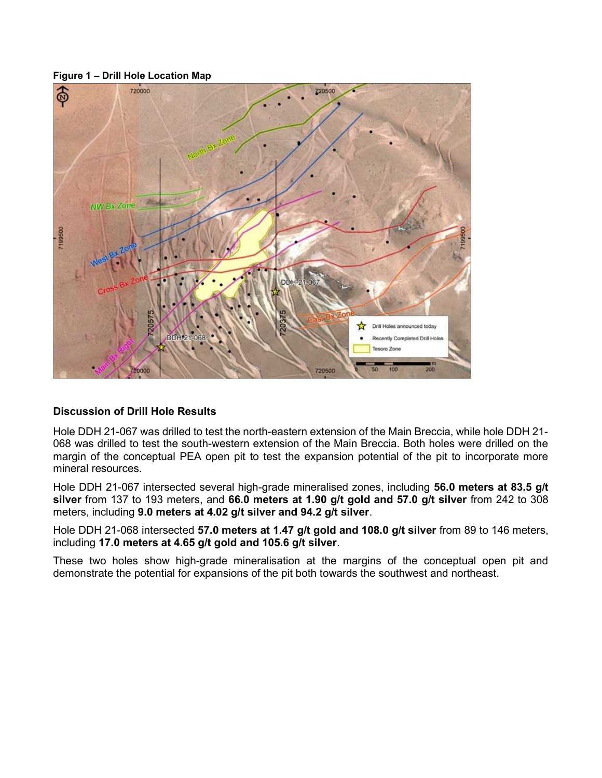#### Figure 1 – Drill Hole Location Map



## Discussion of Drill Hole Results

Hole DDH 21-067 was drilled to test the north-eastern extension of the Main Breccia, while hole DDH 21- 068 was drilled to test the south-western extension of the Main Breccia. Both holes were drilled on the margin of the conceptual PEA open pit to test the expansion potential of the pit to incorporate more mineral resources.

Hole DDH 21-067 intersected several high-grade mineralised zones, including 56.0 meters at 83.5 g/t silver from 137 to 193 meters, and 66.0 meters at 1.90 g/t gold and 57.0 g/t silver from 242 to 308 meters, including 9.0 meters at 4.02 g/t silver and 94.2 g/t silver.

Hole DDH 21-068 intersected 57.0 meters at 1.47 g/t gold and 108.0 g/t silver from 89 to 146 meters, including 17.0 meters at 4.65 g/t gold and 105.6 g/t silver.

These two holes show high-grade mineralisation at the margins of the conceptual open pit and demonstrate the potential for expansions of the pit both towards the southwest and northeast.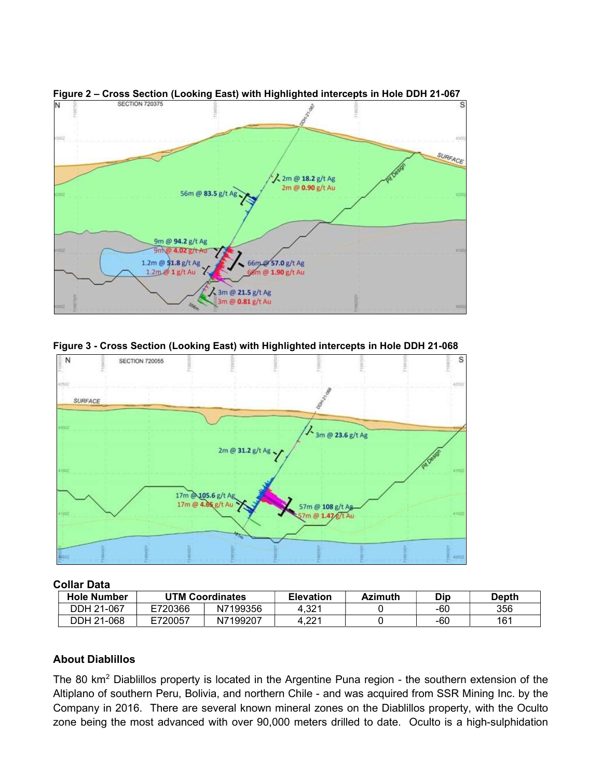





### Collar Data

| <b>Hole Number</b> | <b>UTM Coordinates</b> |          | <b>Elevation</b>  | <b>Azimuth</b> | Dip | <b>Depth</b> |
|--------------------|------------------------|----------|-------------------|----------------|-----|--------------|
| DDH 21-067         | E720366                | N7199356 | 4.32 <sup>1</sup> |                | -60 | 356          |
| DDH 21-068         | E720057                | N7199207 | 4.221             |                | -60 | 161          |

### About Diablillos

The 80 km<sup>2</sup> Diablillos property is located in the Argentine Puna region - the southern extension of the Altiplano of southern Peru, Bolivia, and northern Chile - and was acquired from SSR Mining Inc. by the Company in 2016. There are several known mineral zones on the Diablillos property, with the Oculto zone being the most advanced with over 90,000 meters drilled to date. Oculto is a high-sulphidation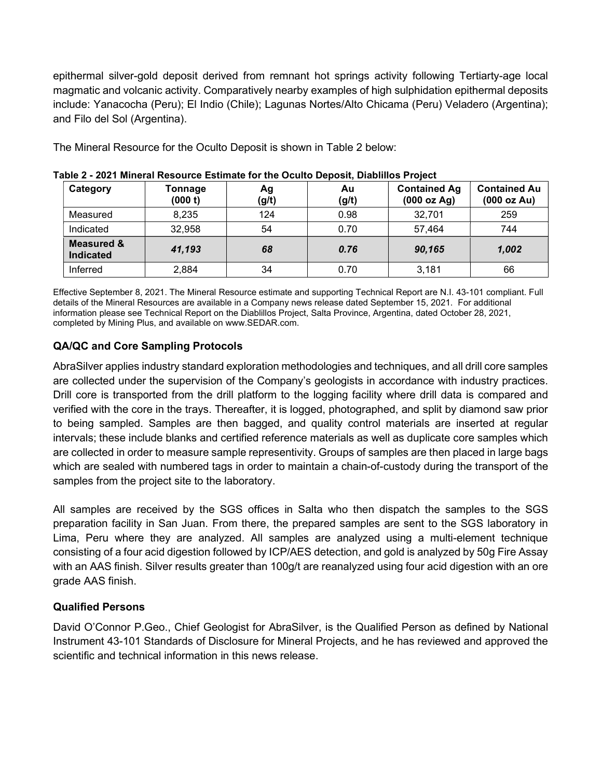epithermal silver-gold deposit derived from remnant hot springs activity following Tertiarty-age local magmatic and volcanic activity. Comparatively nearby examples of high sulphidation epithermal deposits include: Yanacocha (Peru); El Indio (Chile); Lagunas Nortes/Alto Chicama (Peru) Veladero (Argentina); and Filo del Sol (Argentina).

The Mineral Resource for the Oculto Deposit is shown in Table 2 below:

| Category                           | Tonnage<br>(000 t) | Ag<br>(g/t) | Au<br>(g/t) | <b>Contained Ag</b><br>(000 oz Ag) | <b>Contained Au</b><br>(000 oz Au) |
|------------------------------------|--------------------|-------------|-------------|------------------------------------|------------------------------------|
| Measured                           | 8,235              | 124         | 0.98        | 32,701                             | 259                                |
| Indicated                          | 32,958             | 54          | 0.70        | 57,464                             | 744                                |
| <b>Measured &amp;</b><br>Indicated | 41,193             | 68          | 0.76        | 90,165                             | 1,002                              |
| Inferred                           | 2,884              | 34          | 0.70        | 3,181                              | 66                                 |

Table 2 - 2021 Mineral Resource Estimate for the Oculto Deposit, Diablillos Project

Effective September 8, 2021. The Mineral Resource estimate and supporting Technical Report are N.I. 43-101 compliant. Full details of the Mineral Resources are available in a Company news release dated September 15, 2021. For additional information please see Technical Report on the Diablillos Project, Salta Province, Argentina, dated October 28, 2021, completed by Mining Plus, and available on www.SEDAR.com.

# QA/QC and Core Sampling Protocols

AbraSilver applies industry standard exploration methodologies and techniques, and all drill core samples are collected under the supervision of the Company's geologists in accordance with industry practices. Drill core is transported from the drill platform to the logging facility where drill data is compared and verified with the core in the trays. Thereafter, it is logged, photographed, and split by diamond saw prior to being sampled. Samples are then bagged, and quality control materials are inserted at regular intervals; these include blanks and certified reference materials as well as duplicate core samples which are collected in order to measure sample representivity. Groups of samples are then placed in large bags which are sealed with numbered tags in order to maintain a chain-of-custody during the transport of the samples from the project site to the laboratory.

All samples are received by the SGS offices in Salta who then dispatch the samples to the SGS preparation facility in San Juan. From there, the prepared samples are sent to the SGS laboratory in Lima, Peru where they are analyzed. All samples are analyzed using a multi-element technique consisting of a four acid digestion followed by ICP/AES detection, and gold is analyzed by 50g Fire Assay with an AAS finish. Silver results greater than 100g/t are reanalyzed using four acid digestion with an ore grade AAS finish.

# Qualified Persons

David O'Connor P.Geo., Chief Geologist for AbraSilver, is the Qualified Person as defined by National Instrument 43-101 Standards of Disclosure for Mineral Projects, and he has reviewed and approved the scientific and technical information in this news release.